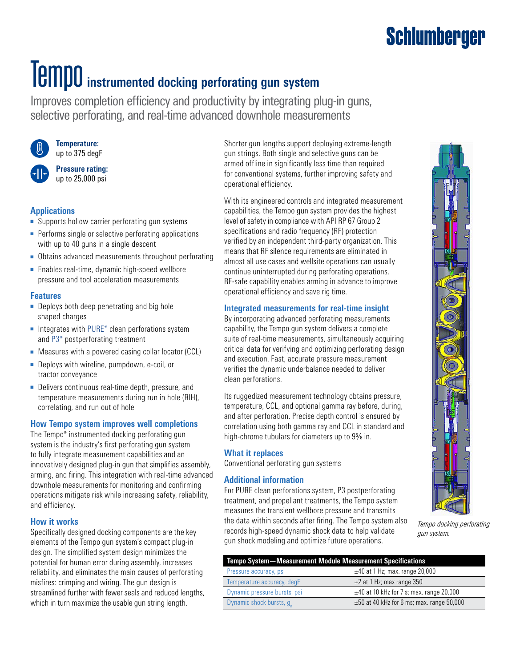## **Tempo** instrumented docking perforating gun system

Improves completion efficiency and productivity by integrating plug-in guns, selective perforating, and real-time advanced downhole measurements



**Temperature:** up to 375 degF



**Pressure rating:** up to 25,000 psi

#### **Applications**

- Supports hollow carrier perforating gun systems
- Performs single or selective perforating applications with up to 40 guns in a single descent
- Obtains advanced measurements throughout perforating
- Enables real-time, dynamic high-speed wellbore pressure and tool acceleration measurements

#### **Features**

- Deploys both deep penetrating and big hole shaped charges
- Integrates with PURE<sup>\*</sup> clean perforations system and [P3\\*](https://www.slb.com/well-intervention/remedial-services/production-improvement/p3-postperforating-treatment) postperforating treatment
- Measures with a powered casing collar locator (CCL)
- Deploys with wireline, pumpdown, e-coil, or tractor conveyance
- Delivers continuous real-time depth, pressure, and temperature measurements during run in hole (RIH), correlating, and run out of hole

#### **How Tempo system improves well completions**

The Tempo\* instrumented docking perforating gun system is the industry's first perforating gun system to fully integrate measurement capabilities and an innovatively designed plug-in gun that simplifies assembly, arming, and firing. This integration with real-time advanced downhole measurements for monitoring and confirming operations mitigate risk while increasing safety, reliability, and efficiency.

#### **How it works**

Specifically designed docking components are the key elements of the Tempo gun system's compact plug-in design. The simplified system design minimizes the potential for human error during assembly, increases reliability, and eliminates the main causes of perforating misfires: crimping and wiring. The gun design is streamlined further with fewer seals and reduced lengths, which in turn maximize the usable gun string length.

Shorter gun lengths support deploying extreme-length gun strings. Both single and selective guns can be armed offline in significantly less time than required for conventional systems, further improving safety and operational efficiency.

With its engineered controls and integrated measurement capabilities, the Tempo gun system provides the highest level of safety in compliance with API RP 67 Group 2 specifications and radio frequency (RF) protection verified by an independent third-party organization. This means that RF silence requirements are eliminated in almost all use cases and wellsite operations can usually continue uninterrupted during perforating operations. RF-safe capability enables arming in advance to improve operational efficiency and save rig time.

#### **Integrated measurements for real-time insight**

By incorporating advanced perforating measurements capability, the Tempo gun system delivers a complete suite of real-time measurements, simultaneously acquiring critical data for verifying and optimizing perforating design and execution. Fast, accurate pressure measurement verifies the dynamic underbalance needed to deliver clean perforations.

Its ruggedized measurement technology obtains pressure, temperature, CCL, and optional gamma ray before, during, and after perforation. Precise depth control is ensured by correlation using both gamma ray and CCL in standard and high-chrome tubulars for diameters up to 9<sup>5</sup>/<sub>8</sub> in.

#### **What it replaces**

Conventional perforating gun systems

#### **Additional information**

For PURE clean perforations system, P3 postperforating treatment, and propellant treatments, the Tempo system measures the transient wellbore pressure and transmits the data within seconds after firing. The Tempo system also records high-speed dynamic shock data to help validate gun shock modeling and optimize future operations.



*Tempo docking perforating gun system.*

| <b>Tempo System-Measurement Module Measurement Specifications</b> |                                                |  |  |  |
|-------------------------------------------------------------------|------------------------------------------------|--|--|--|
| Pressure accuracy, psi                                            | $\pm$ 40 at 1 Hz; max. range 20,000            |  |  |  |
| Temperature accuracy, degF                                        | $\pm$ 2 at 1 Hz; max range 350                 |  |  |  |
| Dynamic pressure bursts, psi                                      | $\pm$ 40 at 10 kHz for 7 s; max. range 20,000  |  |  |  |
| Dynamic shock bursts, g                                           | $\pm 50$ at 40 kHz for 6 ms; max. range 50,000 |  |  |  |

### **Schlumberger**